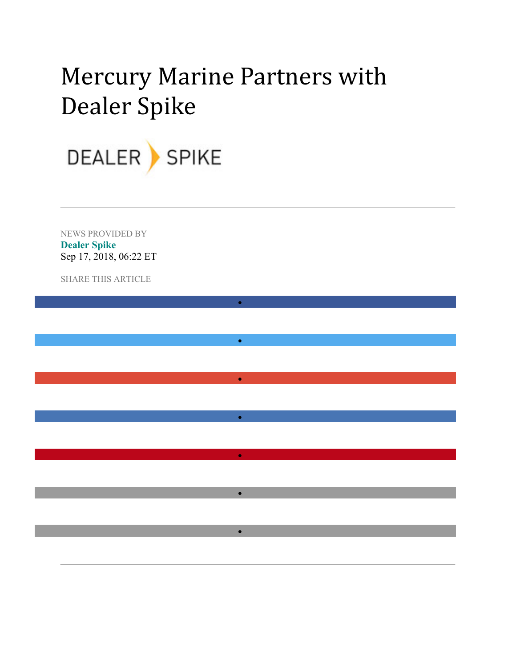## Mercury Marine Partners with Dealer Spike

•

•

•

•

•

•

•



NEWS PROVIDED BY **Dealer Spike** Sep 17, 2018, 06:22 ET

SHARE THIS ARTICLE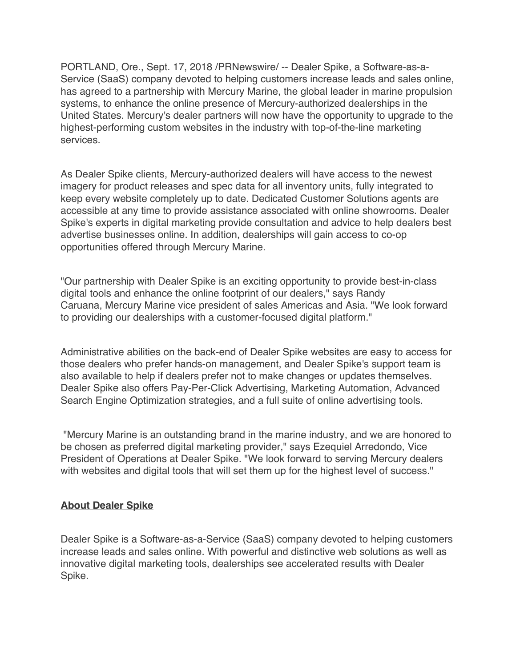PORTLAND, Ore., Sept. 17, 2018 /PRNewswire/ -- Dealer Spike, a Software-as-a-Service (SaaS) company devoted to helping customers increase leads and sales online, has agreed to a partnership with Mercury Marine, the global leader in marine propulsion systems, to enhance the online presence of Mercury-authorized dealerships in the United States. Mercury's dealer partners will now have the opportunity to upgrade to the highest-performing custom websites in the industry with top-of-the-line marketing services.

As Dealer Spike clients, Mercury-authorized dealers will have access to the newest imagery for product releases and spec data for all inventory units, fully integrated to keep every website completely up to date. Dedicated Customer Solutions agents are accessible at any time to provide assistance associated with online showrooms. Dealer Spike's experts in digital marketing provide consultation and advice to help dealers best advertise businesses online. In addition, dealerships will gain access to co-op opportunities offered through Mercury Marine.

"Our partnership with Dealer Spike is an exciting opportunity to provide best-in-class digital tools and enhance the online footprint of our dealers," says Randy Caruana, Mercury Marine vice president of sales Americas and Asia. "We look forward to providing our dealerships with a customer-focused digital platform."

Administrative abilities on the back-end of Dealer Spike websites are easy to access for those dealers who prefer hands-on management, and Dealer Spike's support team is also available to help if dealers prefer not to make changes or updates themselves. Dealer Spike also offers Pay-Per-Click Advertising, Marketing Automation, Advanced Search Engine Optimization strategies, and a full suite of online advertising tools.

"Mercury Marine is an outstanding brand in the marine industry, and we are honored to be chosen as preferred digital marketing provider," says Ezequiel Arredondo, Vice President of Operations at Dealer Spike. "We look forward to serving Mercury dealers with websites and digital tools that will set them up for the highest level of success."

## **About Dealer Spike**

Dealer Spike is a Software-as-a-Service (SaaS) company devoted to helping customers increase leads and sales online. With powerful and distinctive web solutions as well as innovative digital marketing tools, dealerships see accelerated results with Dealer Spike.